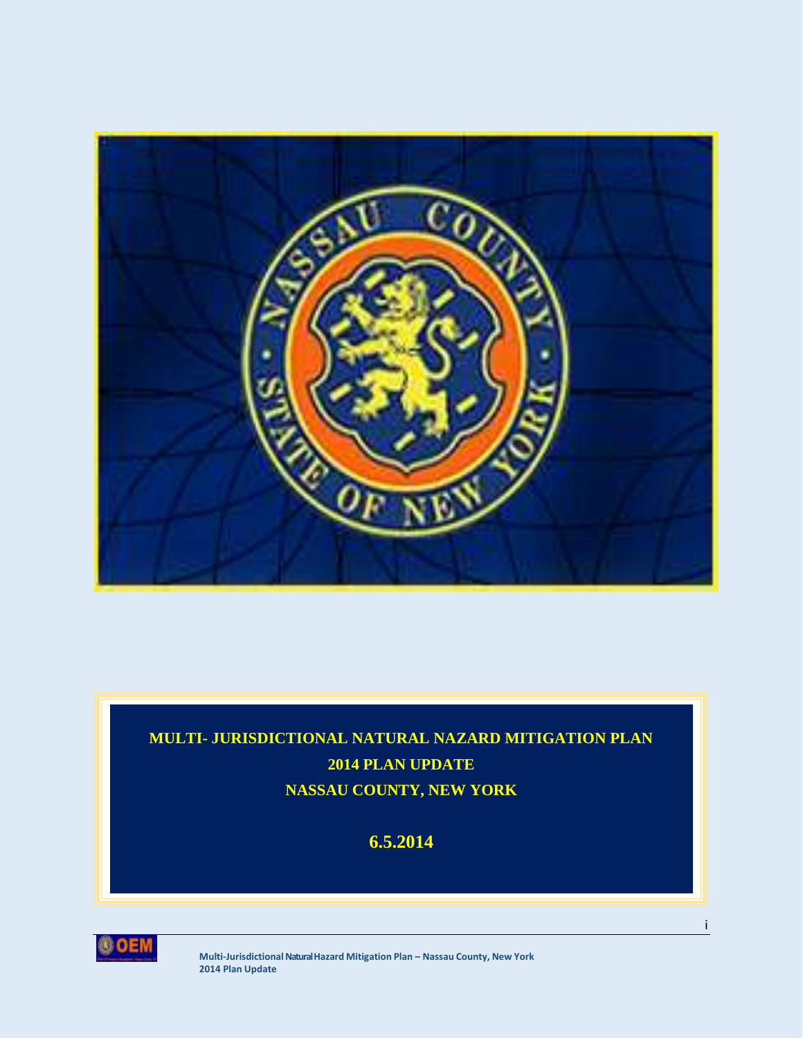

# **MULTI- JURISDICTIONAL NATURAL NAZARD MITIGATION PLAN 2014 PLAN UPDATE NASSAU COUNTY, NEW YORK**

# **6.5.2014**



**Multi-JurisdictionalNatural Hazard Mitigation Plan – Nassau County, New York 2014 Plan Update**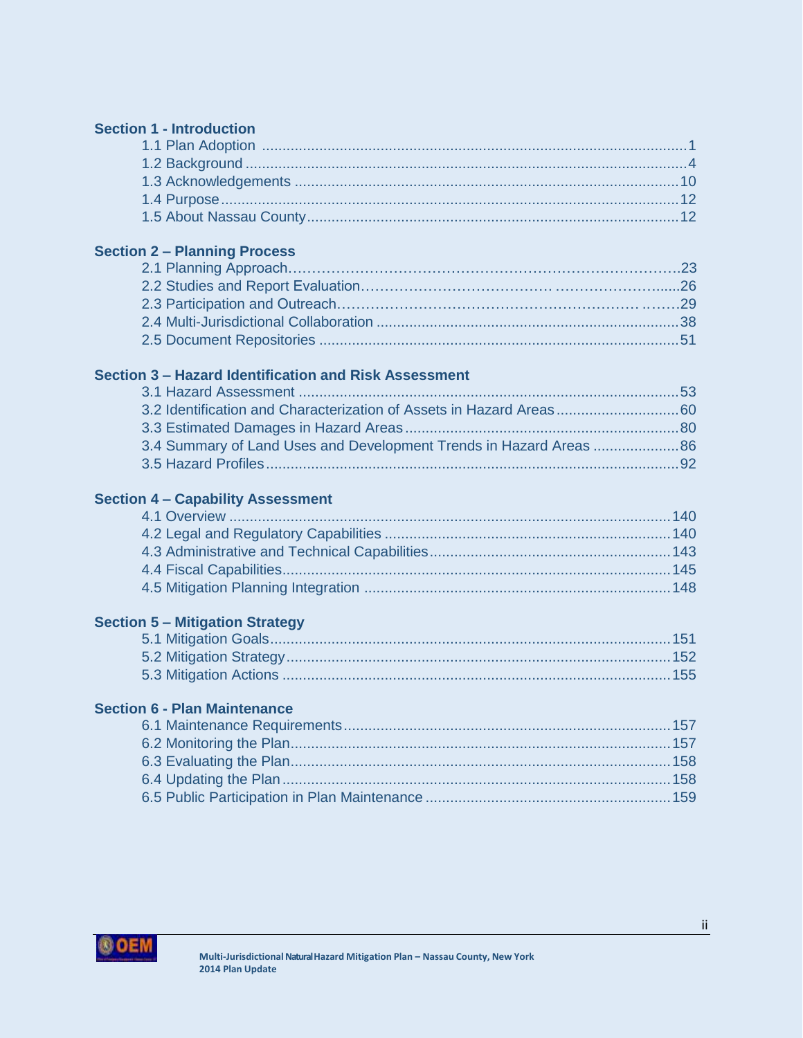### **Section 1 - Introduction**

#### **Section 2 – Planning Process**

#### **Section 3 – Hazard Identification and Risk Assessment**

# **Section 4 – Capability Assessment**

# **Section 5 – Mitigation Strategy**

# **Section 6 - Plan Maintenance**

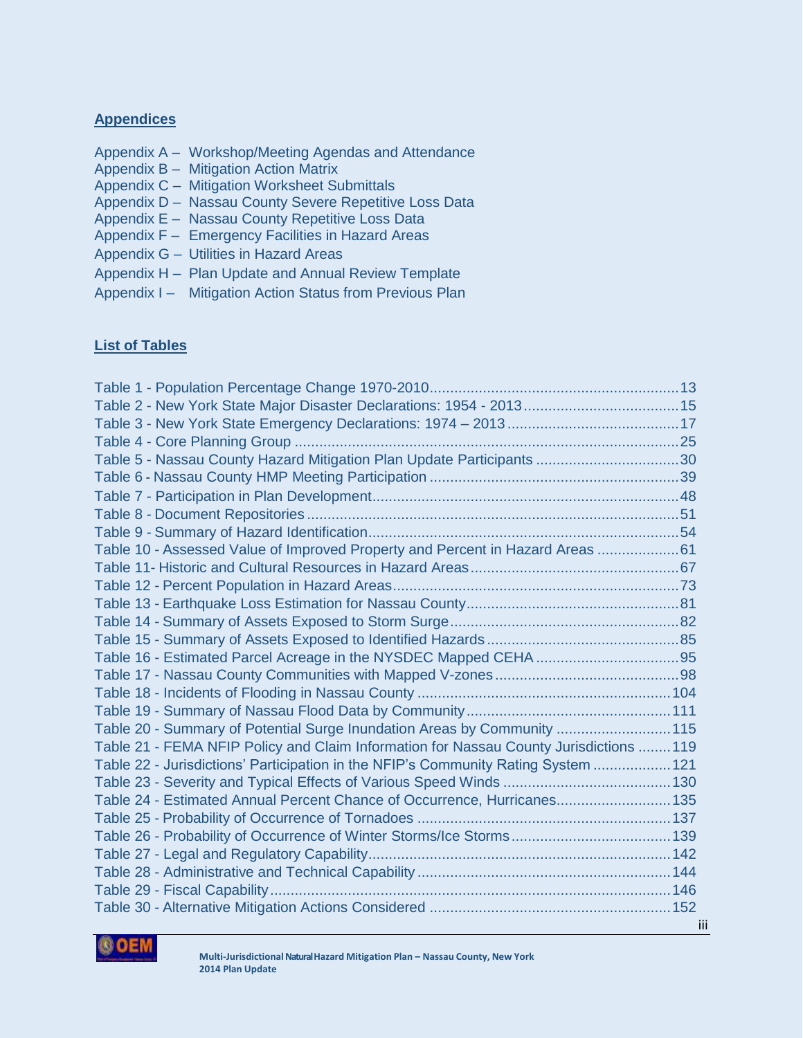#### **Appendices**

- Appendix A Workshop/Meeting Agendas and Attendance
- Appendix B Mitigation Action Matrix
- Appendix C Mitigation Worksheet Submittals
- Appendix D Nassau County Severe Repetitive Loss Data
- Appendix E Nassau County Repetitive Loss Data
- Appendix F Emergency Facilities in Hazard Areas
- Appendix G Utilities in Hazard Areas
- Appendix H Plan Update and Annual Review Template
- Appendix I Mitigation Action Status from Previous Plan

#### **List of Tables**

| Table 2 - New York State Major Disaster Declarations: 1954 - 2013 15                   |  |
|----------------------------------------------------------------------------------------|--|
|                                                                                        |  |
|                                                                                        |  |
| Table 5 - Nassau County Hazard Mitigation Plan Update Participants 30                  |  |
|                                                                                        |  |
|                                                                                        |  |
|                                                                                        |  |
|                                                                                        |  |
| Table 10 - Assessed Value of Improved Property and Percent in Hazard Areas 61          |  |
|                                                                                        |  |
|                                                                                        |  |
|                                                                                        |  |
|                                                                                        |  |
|                                                                                        |  |
|                                                                                        |  |
|                                                                                        |  |
|                                                                                        |  |
|                                                                                        |  |
| Table 20 - Summary of Potential Surge Inundation Areas by Community  115               |  |
| Table 21 - FEMA NFIP Policy and Claim Information for Nassau County Jurisdictions  119 |  |
| Table 22 - Jurisdictions' Participation in the NFIP's Community Rating System 121      |  |
|                                                                                        |  |
| Table 24 - Estimated Annual Percent Chance of Occurrence, Hurricanes 135               |  |
|                                                                                        |  |
|                                                                                        |  |
|                                                                                        |  |
|                                                                                        |  |
|                                                                                        |  |
|                                                                                        |  |